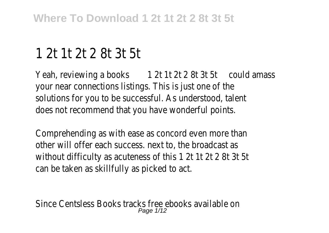## 1 2t 1t 2t 2 8t 3t 5t

Yeah, reviewing a books 1 2t 1t 2t 2 8t 3t 5t could amass your near connections listings. This is just one of the solutions for you to be successful. As understood, talent does not recommend that you have wonderful points.

Comprehending as with ease as concord even more than other will offer each success. next to, the broadcast as without difficulty as acuteness of this 1 2t 1t 2t 2 8t 3t 5t can be taken as skillfully as picked to act.

Since Centsless Books tracks free ebooks available on Page 1/12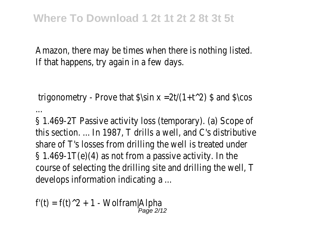Amazon, there may be times when there is nothing listed. If that happens, try again in a few days.

trigonometry - Prove that  $\sin x = 2t/(1+t^2)$  \$ and  $\csc$ 

§ 1.469-2T Passive activity loss (temporary). (a) Scope of this section. ... In 1987, T drills a well, and C's distributive share of T's losses from drilling the well is treated under § 1.469-1T(e)(4) as not from a passive activity. In the course of selecting the drilling site and drilling the well, T develops information indicating a ...

 $f'(t) = f(t)^2 + 1$  - Wolfram|Alpha Page 2/12

...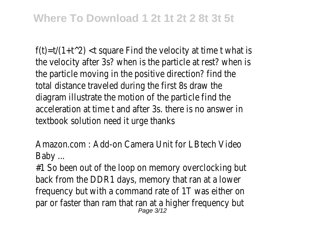$f(t)=t/(1+t^2)$  < t square Find the velocity at time t what is the velocity after 3s? when is the particle at rest? when is the particle moving in the positive direction? find the total distance traveled during the first 8s draw the diagram illustrate the motion of the particle find the acceleration at time t and after 3s. there is no answer in textbook solution need it urge thanks

Amazon.com : Add-on Camera Unit for LBtech Video Baby ...

#1 So been out of the loop on memory overclocking but back from the DDR1 days, memory that ran at a lower frequency but with a command rate of 1T was either on par or faster than ram that ran at a higher frequency but<br>Page 3/12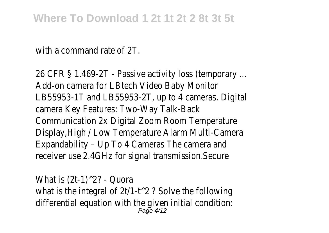## **Where To Download 1 2t 1t 2t 2 8t 3t 5t**

with a command rate of 2T.

26 CFR § 1.469-2T - Passive activity loss (temporary ... Add-on camera for LBtech Video Baby Monitor LB55953-1T and LB55953-2T, up to 4 cameras. Digital camera Key Features: Two-Way Talk-Back Communication 2x Digital Zoom Room Temperature Display,High / Low Temperature Alarm Multi-Camera Expandability – Up To 4 Cameras The camera and receiver use 2.4GHz for signal transmission.Secure

What is  $(2t-1)^2$ ? - Quora what is the integral of  $2t/1-t^2$  ? Solve the following differential equation with the given initial condition: Page 4/12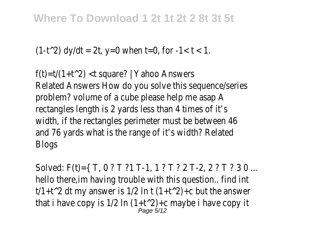## **Where To Download 1 2t 1t 2t 2 8t 3t 5t**

```
(1-t^2) dy/dt = 2t, y=0 when t=0, for -1 < t < 1.
```
f(t)=t/(1+t^2) <t square? | Yahoo Answers Related Answers How do you solve this sequence/series problem? volume of a cube please help me asap A rectangles length is 2 yards less than 4 times of it's width, if the rectangles perimeter must be between 46 and 76 yards what is the range of it's width? Related Blogs

Solved: F(t)={ T, 0 ? T ?1 T-1, 1 ? T ? 2 T-2, 2 ? T ? 3 0 ... hello there,im having trouble with this question.. find int t/1+t^2 dt my answer is 1/2 ln t  $(1+t^2)$ +c but the answer that i have copy is 1/2 ln  $(1+t^2)$ +c maybe i have copy it<br>Page 5/12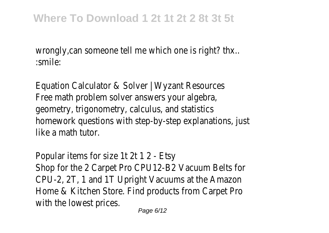wrongly, can someone tell me which one is right? thx.. :smile:

Equation Calculator & Solver | Wyzant Resources Free math problem solver answers your algebra, geometry, trigonometry, calculus, and statistics homework questions with step-by-step explanations, just like a math tutor.

Popular items for size 1t 2t 1 2 - Etsy Shop for the 2 Carpet Pro CPU12-B2 Vacuum Belts for CPU-2, 2T, 1 and 1T Upright Vacuums at the Amazon Home & Kitchen Store. Find products from Carpet Pro with the lowest prices.

Page 6/12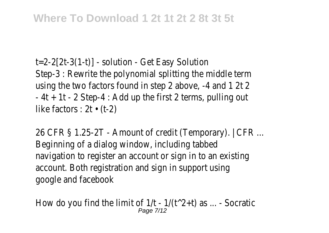t=2-2[2t-3(1-t)] - solution - Get Easy Solution Step-3 : Rewrite the polynomial splitting the middle term using the two factors found in step 2 above, -4 and 1 2t 2  $-4t + 1t - 2$  Step-4 : Add up the first 2 terms, pulling out like factors :  $2t \cdot (t-2)$ 

26 CFR § 1.25-2T - Amount of credit (Temporary). | CFR ... Beginning of a dialog window, including tabbed navigation to register an account or sign in to an existing account. Both registration and sign in support using google and facebook

How do you find the limit of  $1/t - 1/(t^2+t)$  as ... - Socratic Page 7/12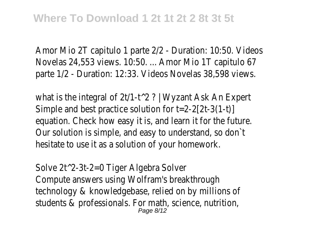Amor Mio 2T capitulo 1 parte 2/2 - Duration: 10:50. Videos Novelas 24,553 views. 10:50. ... Amor Mio 1T capitulo 67 parte 1/2 - Duration: 12:33. Videos Novelas 38,598 views.

what is the integral of 2t/1-t<sup>o</sup> 2? | Wyzant Ask An Expert Simple and best practice solution for t=2-2[2t-3(1-t)] equation. Check how easy it is, and learn it for the future. Our solution is simple, and easy to understand, so don`t hesitate to use it as a solution of your homework.

Solve 2t^2-3t-2=0 Tiger Algebra Solver Compute answers using Wolfram's breakthrough technology & knowledgebase, relied on by millions of students & professionals. For math, science, nutrition, Page 8/12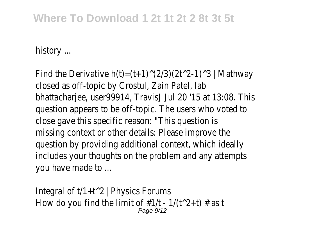## **Where To Download 1 2t 1t 2t 2 8t 3t 5t**

history ...

Find the Derivative  $h(t)=(t+1)^{(2/3)}(2t^2-1)^3$  | Mathway closed as off-topic by Crostul, Zain Patel, lab bhattacharjee, user99914, TravisJ Jul 20 '15 at 13:08. This question appears to be off-topic. The users who voted to close gave this specific reason: "This question is missing context or other details: Please improve the question by providing additional context, which ideally includes your thoughts on the problem and any attempts you have made to ...

Integral of  $t/1+t^2$  | Physics Forums How do you find the limit of  $\#1/t - 1/(t^2+t) \#$  as t Page 9/12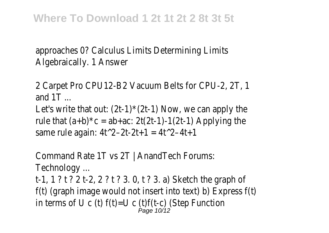approaches 0? Calculus Limits Determining Limits Algebraically. 1 Answer

2 Carpet Pro CPU12-B2 Vacuum Belts for CPU-2, 2T, 1 and  $1T$  ... Let's write that out:  $(2t-1)$ <sup> $\star$ </sup> $(2t-1)$  Now, we can apply the rule that  $(a+b)^*c = ab+ac$ : 2t(2t-1)-1(2t-1) Applying the

same rule again:  $4t^2-2t-2t+1 = 4t^2-4t+1$ 

Command Rate 1T vs 2T | AnandTech Forums: Technology ...

t-1, 1 ? t ? 2 t-2, 2 ? t ? 3. 0, t ? 3. a) Sketch the graph of f(t) (graph image would not insert into text) b) Express f(t) in terms of U c (t)  $f(t)=U$  c (t) $f(t-c)$  (Step Function Page 10/12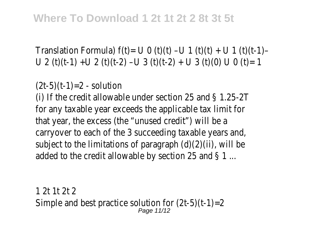Translation Formula)  $f(t) = U \bigcup (t)(t) - U \bigcup (t)(t) + U \bigcup (t)(t-1) - U$ U 2 (t)(t-1) +U 2 (t)(t-2) -U 3 (t)(t-2) + U 3 (t)(0) U 0 (t)= 1

 $(2t-5)(t-1)=2 -$  solution (i) If the credit allowable under section 25 and § 1.25-2T for any taxable year exceeds the applicable tax limit for that year, the excess (the "unused credit") will be a carryover to each of the 3 succeeding taxable years and, subject to the limitations of paragraph (d)(2)(ii), will be added to the credit allowable by section 25 and § 1 ...

1 2t 1t 2t 2 Simple and best practice solution for (2t-5)(t-1)=2 Page 11/12